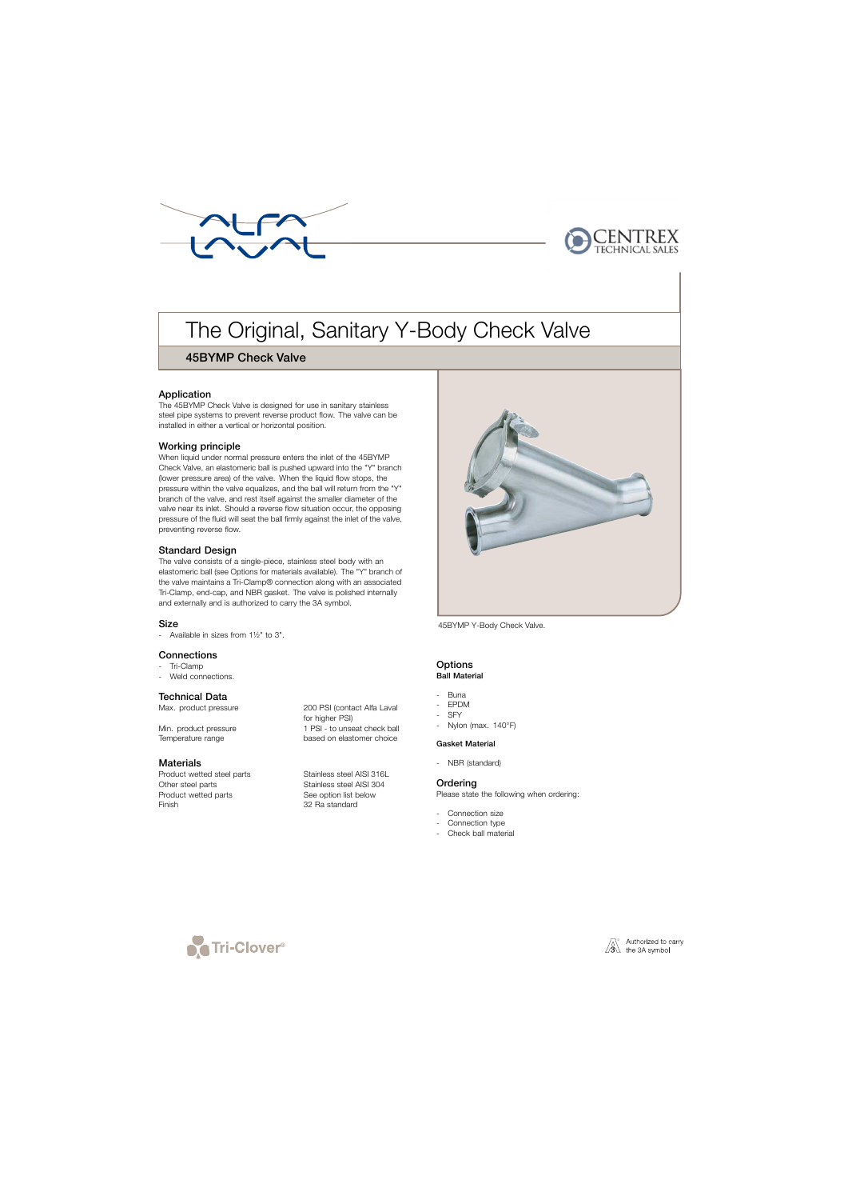



# The Original, Sanitary Y-Body Check Valve

## 45BYMP Check Valve

## Application

The 45BYMP Check Valve is designed for use in sanitary stainless steel pipe systems to prevent reverse product flow. The valve can be installed in either a vertical or horizontal position.

## Working principle

When liquid under normal pressure enters the inlet of the 45BYMP Check Valve, an elastomeric ball is pushed upward into the "Y" branch (lower pressure area) of the valve. When the liquid flow stops, the pressure within the valve equalizes, and the ball will return from the "Y" branch of the valve, and rest itself against the smaller diameter of the valve near its inlet. Should a reverse flow situation occur, the opposing pressure of the fluid will seat the ball firmly against the inlet of the valve, preventing reverse flow.

## Standard Design

The valve consists of a single-piece, stainless steel body with an elastomeric ball (see Options for materials available). The "Y" branch of the valve maintains a Tri-Clamp® connection along with an associated Tri-Clamp, end-cap, and NBR gasket. The valve is polished internally and externally and is authorized to carry the 3A symbol.

## Size

- Available in sizes from 1½" to 3".

#### **Connections**

- . Tri-Clamp
- Weld connections.

## Technical Data

Temperature range based on elastomer choice

## **Materials**

Product wetted steel parts<br>
Other steel parts<br>
Stainless steel AISI 304 Product wetted parts See option list below Finish 32 Ra standard

Max. product pressure 200 PSI (contact Alfa Laval for higher PSI) Min. product pressure 1 PSI - to unseat check ball

Stainless steel AISI 304



45BYMP Y-Body Check Valve.

#### **Options** Ball Material

- Buna
- EPDM
- SFY
- Nylon (max. 140°F)

#### Gasket Material

- NBR (standard)

## **Ordering**

Please state the following when ordering:

- Connection size
- Connection type
- Check ball material



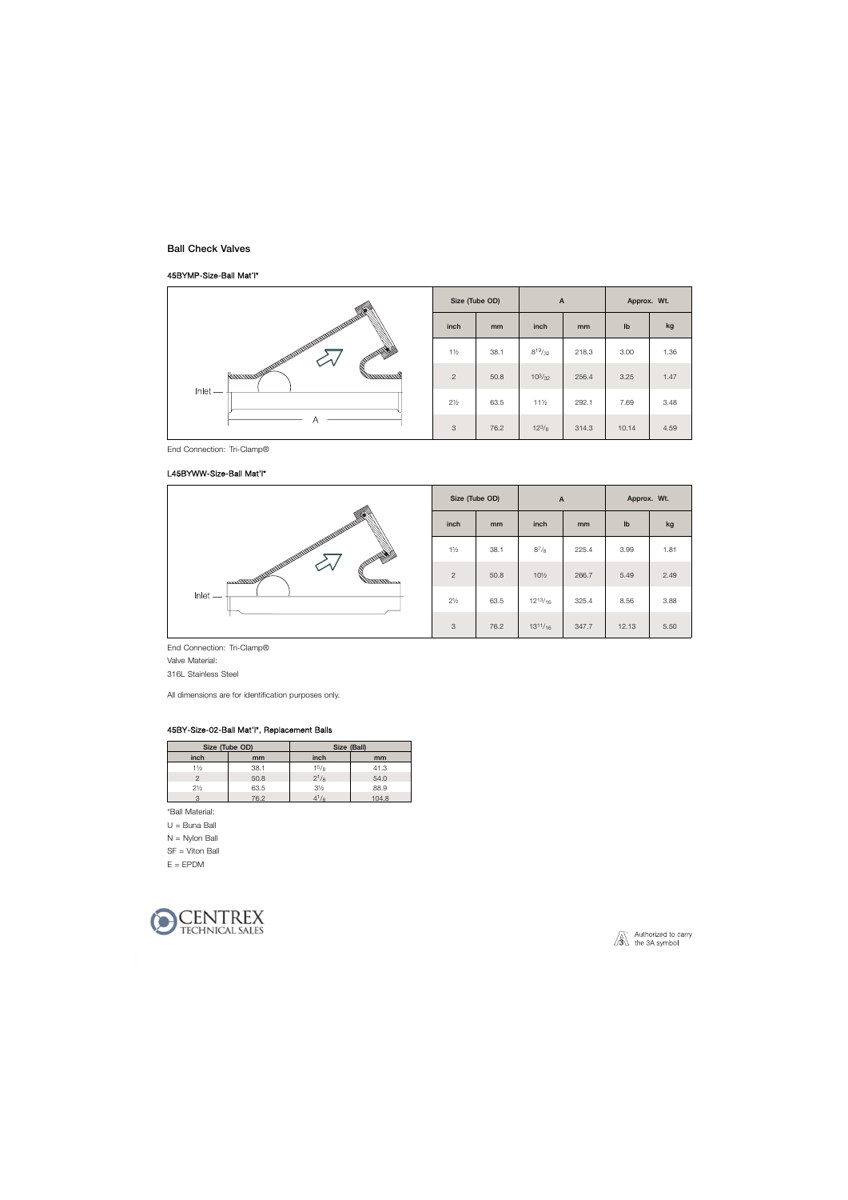## Ball Check Valves

### 45BYMP-Size-Ball Mat'l\*



End Connection: Tri-Clamp®

#### L45BYWW-Size-Ball Mat'l\*



End Connection: Tri-Clamp® Valve Material: 316L Stainless Steel

All dimensions are for identification purposes only.

#### 45BY-Size-02-Ball Mat'l\*, Replacement Balls

| Size (Tube OD) |      | Size (Ball)    |       |
|----------------|------|----------------|-------|
| inch           | mm   | inch           | mm    |
| 1½             | 38.1 | $1^{5}/8$      | 41.3  |
|                | 50.8 | $2^{1/8}$      | 54.0  |
| $2\frac{1}{2}$ | 63.5 | $3\frac{1}{2}$ | 88.9  |
|                | 76.2 |                | 104.8 |

\*Ball Material:

U = Buna Ball

N = Nylon Ball

SF = Viton Ball

 $E = EPDM$ 

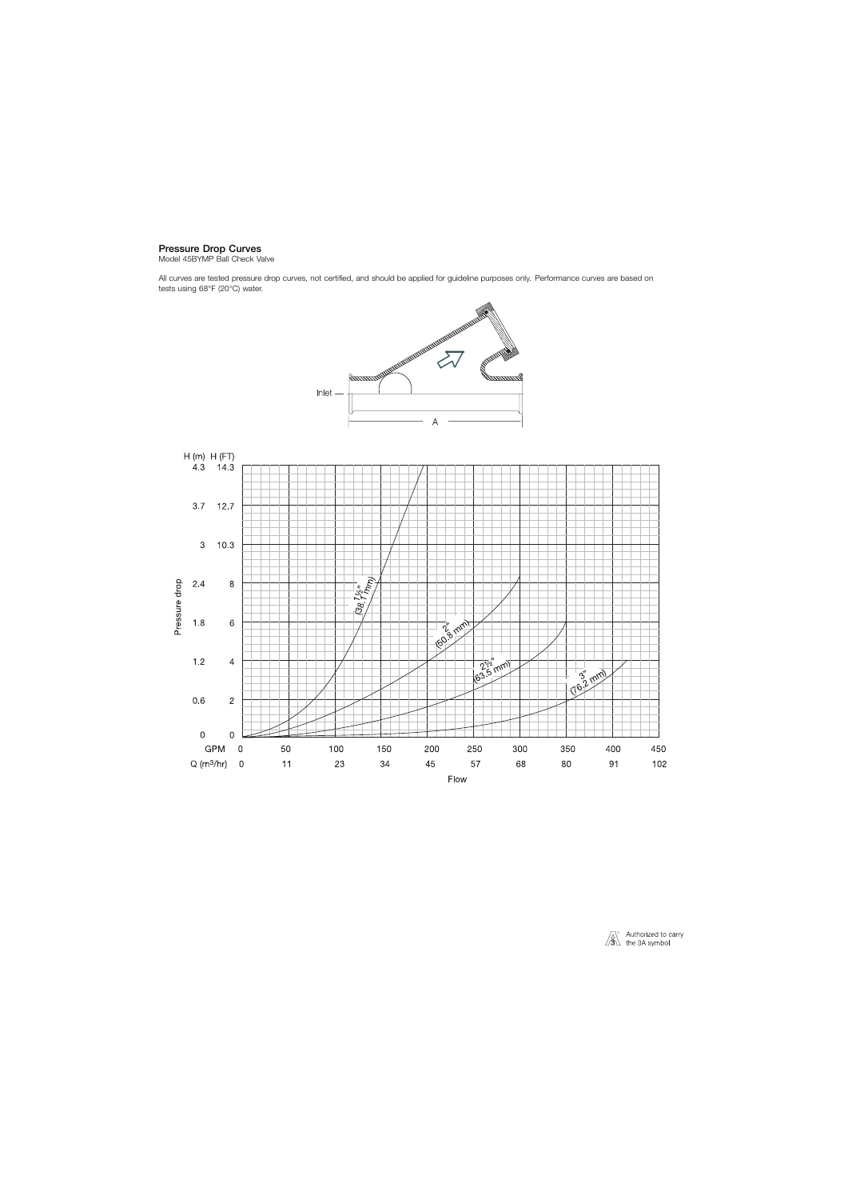## Pressure Drop Curves

Model 45BYMP Ball Check Valve

All curves are tested pressure drop curves, not certified, and should be applied for guideline purposes only. Performance curves are based on tests using 68°F (20°C) water.